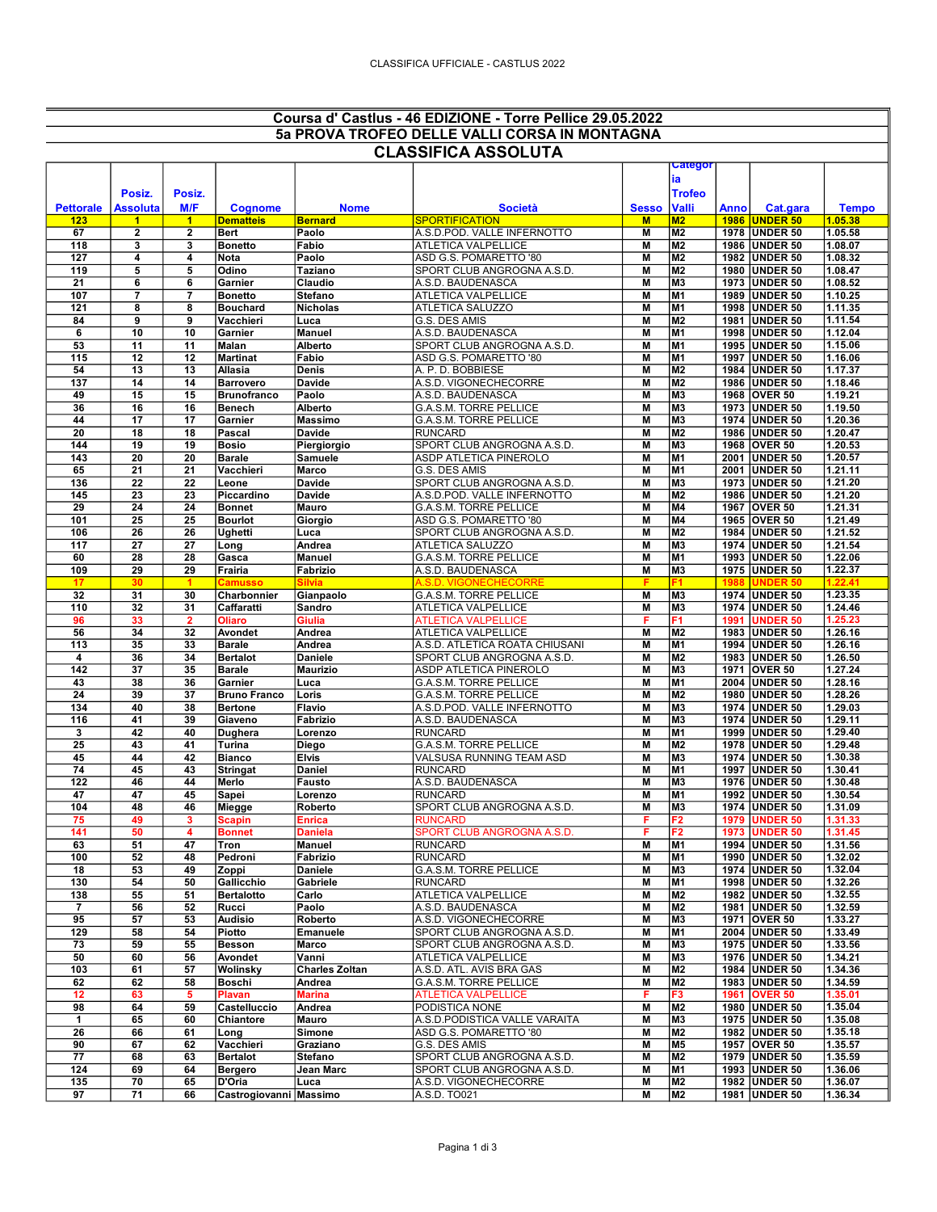## Coursa d' Castlus - 46 EDIZIONE - Torre Pellice 29.05.2022 5a PROVA TROFEO DELLE VALLI CORSA IN MONTAGNA

| <b>CLASSIFICA ASSOLUTA</b> |                              |              |                               |                         |                                                      |              |                                  |             |                                  |                    |
|----------------------------|------------------------------|--------------|-------------------------------|-------------------------|------------------------------------------------------|--------------|----------------------------------|-------------|----------------------------------|--------------------|
|                            |                              |              |                               |                         |                                                      |              | categor                          |             |                                  |                    |
|                            |                              |              |                               |                         |                                                      |              | ia                               |             |                                  |                    |
|                            | Posiz.                       | Posiz.       |                               |                         |                                                      |              | <b>Trofeo</b>                    |             |                                  |                    |
| <b>Pettorale</b>           | <b>Assoluta</b>              | M/F          | <b>Cognome</b>                | <b>Nome</b>             | <b>Società</b>                                       | <b>Sesso</b> | <b>Valli</b>                     | <b>Anno</b> | Cat.gara                         | <b>Tempo</b>       |
| 123<br>67                  | 1<br>$\overline{\mathbf{2}}$ | 1<br>2       | <b>Dematteis</b><br>Bert      | <b>Bernard</b><br>Paolo | <b>SPORTIFICATION</b><br>A.S.D.POD. VALLE INFERNOTTO | M<br>M       | M <sub>2</sub><br>M <sub>2</sub> |             | 1986 UNDER 50<br>1978 UNDER 50   | 1.05.38<br>1.05.58 |
| 118                        | $\overline{\mathbf{3}}$      | 3            | <b>Bonetto</b>                | Fabio                   | <b>ATLETICA VALPELLICE</b>                           | М            | M <sub>2</sub>                   |             | 1986 UNDER 50                    | 1.08.07            |
| 127                        | 4                            | 4            | Nota                          | Paolo                   | ASD G.S. POMARETTO '80                               | M            | M <sub>2</sub>                   |             | 1982 UNDER 50                    | 1.08.32            |
| 119                        | 5                            | 5            | Odino                         | Taziano                 | SPORT CLUB ANGROGNA A.S.D.                           | M            | M <sub>2</sub>                   |             | 1980 UNDER 50                    | 1.08.47            |
| 21                         | 6                            | 6            | Garnier                       | Claudio                 | A.S.D. BAUDENASCA                                    | M            | M <sub>3</sub>                   |             | 1973 UNDER 50                    | 1.08.52            |
| 107                        | $\overline{7}$               | 7            | <b>Bonetto</b>                | <b>Stefano</b>          | ATLETICA VALPELLICE                                  | M            | M <sub>1</sub>                   |             | 1989 UNDER 50                    | 1.10.25            |
| 121                        | 8                            | 8            | <b>Bouchard</b>               | <b>Nicholas</b>         | ATLETICA SALUZZO                                     | M            | M <sub>1</sub>                   |             | 1998 UNDER 50                    | 1.11.35            |
| 84                         | 9                            | 9            | Vacchieri                     | Luca                    | G.S. DES AMIS                                        | M            | M2                               |             | 1981 UNDER 50                    | 1.11.54            |
| 6<br>53                    | 10<br>11                     | 10<br>11     | Garnier<br>Malan              | Manuel<br>Alberto       | A.S.D. BAUDENASCA<br>SPORT CLUB ANGROGNA A.S.D.      | M<br>M       | M <sub>1</sub><br>M <sub>1</sub> |             | 1998 UNDER 50<br>1995   UNDER 50 | 1.12.04<br>1.15.06 |
| 115                        | 12                           | 12           | <b>Martinat</b>               | Fabio                   | ASD G.S. POMARETTO '80                               | M            | M <sub>1</sub>                   |             | 1997 UNDER 50                    | 1.16.06            |
| 54                         | 13                           | 13           | Allasia                       | Denis                   | A. P. D. BOBBIESE                                    | M            | M2                               |             | 1984 UNDER 50                    | 1.17.37            |
| 137                        | 14                           | 14           | <b>Barrovero</b>              | Davide                  | A.S.D. VIGONECHECORRE                                | M            | M <sub>2</sub>                   |             | 1986 UNDER 50                    | 1.18.46            |
| 49                         | 15                           | 15           | <b>Brunofranco</b>            | Paolo                   | A.S.D. BAUDENASCA                                    | M            | M <sub>3</sub>                   |             | 1968 OVER 50                     | 1.19.21            |
| 36                         | 16                           | 16           | <b>Benech</b>                 | Alberto                 | G.A.S.M. TORRE PELLICE                               | M            | M <sub>3</sub>                   |             | 1973 UNDER 50                    | 1.19.50            |
| 44                         | 17                           | 17           | Garnier                       | Massimo                 | G.A.S.M. TORRE PELLICE                               | M            | M <sub>3</sub>                   |             | 1974 UNDER 50                    | 1.20.36            |
| 20                         | 18                           | 18           | Pascal                        | Davide                  | <b>RUNCARD</b>                                       | M            | M <sub>2</sub>                   |             | 1986 UNDER 50                    | 1.20.47            |
| 144<br>143                 | 19<br>20                     | 19<br>20     | <b>Bosio</b><br><b>Barale</b> | Piergiorgio<br>Samuele  | SPORT CLUB ANGROGNA A.S.D.<br>ASDP ATLETICA PINEROLO | M<br>M       | M <sub>3</sub><br>M1             |             | 1968 OVER 50<br>2001 UNDER 50    | 1.20.53<br>1.20.57 |
| 65                         | 21                           | 21           | Vacchieri                     | Marco                   | G.S. DES AMIS                                        | M            | M <sub>1</sub>                   |             | 2001 UNDER 50                    | 1.21.11            |
| 136                        | 22                           | 22           | Leone                         | Davide                  | SPORT CLUB ANGROGNA A.S.D.                           | M            | M <sub>3</sub>                   |             | 1973 UNDER 50                    | 1.21.20            |
| 145                        | 23                           | 23           | Piccardino                    | Davide                  | A.S.D.POD. VALLE INFERNOTTO                          | M            | M2                               |             | 1986 UNDER 50                    | 1.21.20            |
| 29                         | 24                           | 24           | <b>Bonnet</b>                 | Mauro                   | <b>G.A.S.M. TORRE PELLICE</b>                        | M            | M4                               |             | 1967 OVER 50                     | 1.21.31            |
| 101                        | 25                           | 25           | <b>Bourlot</b>                | Giorgio                 | ASD G.S. POMARETTO '80                               | M            | M4                               |             | 1965   OVER 50                   | 1.21.49            |
| 106                        | 26                           | 26           | Ughetti                       | Luca                    | SPORT CLUB ANGROGNA A.S.D                            | M            | M <sub>2</sub>                   |             | 1984 UNDER 50                    | 1.21.52            |
| 117                        | 27                           | 27           | Long                          | Andrea<br><b>Manuel</b> | ATLETICA SALUZZO                                     | М            | M <sub>3</sub>                   |             | 1974 UNDER 50                    | 1.21.54            |
| 60<br>109                  | 28<br>29                     | 28<br>29     | Gasca<br>Frairia              | Fabrizio                | G.A.S.M. TORRE PELLICE<br>A.S.D. BAUDENASCA          | M<br>M       | M1<br>M <sub>3</sub>             |             | 1993 UNDER 50<br>1975 UNDER 50   | 1.22.06<br>1.22.37 |
| 17                         | 30                           | 1            | Camusso                       | Silvia                  | A.S.D. VIGONECHECORRE                                | F            | F1                               | 1988        | <b>UNDER 50</b>                  | 1.22.41            |
| 32                         | 31                           | 30           | Charbonnier                   | Gianpaolo               | G.A.S.M. TORRE PELLICE                               | M            | M <sub>3</sub>                   |             | 1974 UNDER 50                    | 1.23.35            |
| 110                        | 32                           | 31           | Caffaratti                    | Sandro                  | ATLETICA VALPELLICE                                  | М            | M <sub>3</sub>                   |             | 1974 UNDER 50                    | 1.24.46            |
| 96                         | 33                           | $\mathbf{2}$ | <b>Oliaro</b>                 | Giulia                  | <b>ATLETICA VALPELLICE</b>                           | F            | F1                               |             | 1991 UNDER 50                    | 1.25.23            |
| 56                         | 34                           | 32           | Avondet                       | Andrea                  | ATLETICA VALPELLICE                                  | M            | M2                               |             | 1983 UNDER 50                    | 1.26.16            |
| 113                        | 35                           | 33           | <b>Barale</b>                 | Andrea                  | A.S.D. ATLETICA ROATA CHIUSANI                       | M            | M <sub>1</sub>                   |             | 1994 UNDER 50                    | 1.26.16            |
| 4                          | 36                           | 34           | <b>Bertalot</b>               | <b>Daniele</b>          | SPORT CLUB ANGROGNA A.S.D.                           | М            | M2                               |             | 1983 UNDER 50                    | 1.26.50            |
| 142<br>43                  | 37<br>38                     | 35<br>36     | <b>Barale</b><br>Garnier      | <b>Maurizio</b><br>Luca | ASDP ATLETICA PINEROLO<br>G.A.S.M. TORRE PELLICE     | M<br>M       | M <sub>3</sub><br>M <sub>1</sub> |             | 1971 OVER 50<br>2004 UNDER 50    | 1.27.24<br>1.28.16 |
| 24                         | 39                           | 37           | <b>Bruno Franco</b>           | Loris                   | G.A.S.M. TORRE PELLICE                               | M            | M <sub>2</sub>                   |             | 1980 UNDER 50                    | 1.28.26            |
| 134                        | 40                           | 38           | <b>Bertone</b>                | Flavio                  | A.S.D.POD. VALLE INFERNOTTO                          | M            | M <sub>3</sub>                   |             | 1974 UNDER 50                    | 1.29.03            |
| 116                        | 41                           | 39           | Giaveno                       | Fabrizio                | A.S.D. BAUDENASCA                                    | M            | M <sub>3</sub>                   |             | 1974 UNDER 50                    | 1.29.11            |
| 3                          | 42                           | 40           | <b>Dughera</b>                | Lorenzo                 | <b>RUNCARD</b>                                       | M            | M <sub>1</sub>                   |             | 1999 UNDER 50                    | 1.29.40            |
| 25                         | 43                           | 41           | Turina                        | Diego                   | G.A.S.M. TORRE PELLICE                               | M            | M <sub>2</sub>                   |             | 1978 UNDER 50                    | 1.29.48            |
| 45                         | 44                           | 42           | <b>Bianco</b>                 | <b>Elvis</b>            | VALSUSA RUNNING TEAM ASD                             | M            | M <sub>3</sub>                   |             | 1974 UNDER 50                    | 1.30.38            |
| 74                         | 45                           | 43           | <b>Stringat</b>               | Daniel                  | <b>RUNCARD</b>                                       | М            | M1                               |             | 1997   UNDER 50                  | 1.30.41            |
| 122                        | 46                           | 44           | Merlo                         | Fausto                  | A.S.D. BAUDENASCA                                    | M<br>M       | M <sub>3</sub>                   |             | 1976 UNDER 50                    | 1.30.48            |
| 47<br>104                  | 47<br>48                     | 45<br>46     | Sapei<br>Miegge               | Lorenzo<br>Roberto      | <b>RUNCARD</b><br>SPORT CLUB ANGROGNA A.S.D.         | M            | M1<br>M <sub>3</sub>             |             | 1992 UNDER 50<br>1974 UNDER 50   | 1.30.54<br>1.31.09 |
| 75                         | 49                           | 3            | <b>Scapin</b>                 | Enrica                  | <b>RUNCARD</b>                                       | F            | F2                               |             | <b>1979 UNDER 50</b>             | 1.31.33            |
| 141                        | 50                           |              | <b>Bonnet</b>                 | Daniela                 | SPORT CLUB ANGROGNA A.S.D                            |              | F2                               |             | 1973 UNDER 50                    | 1.31.45            |
| 63                         | 51                           | 47           | Tron                          | Manuel                  | <b>RUNCARD</b>                                       | M            | M1                               |             | 1994 UNDER 50                    | 1.31.56            |
| 100                        | 52                           | 48           | Pedroni                       | Fabrizio                | <b>RUNCARD</b>                                       | M            | M1                               |             | 1990 UNDER 50                    | 1.32.02            |
| 18                         | 53                           | 49           | Zoppi                         | <b>Daniele</b>          | G.A.S.M. TORRE PELLICE                               | M            | M <sub>3</sub>                   |             | 1974 UNDER 50                    | 1.32.04            |
| 130                        | 54                           | 50           | Gallicchio                    | Gabriele                | <b>RUNCARD</b>                                       | M            | M <sub>1</sub>                   |             | 1998 UNDER 50                    | 1.32.26            |
| 138<br>7                   | 55<br>56                     | 51<br>52     | <b>Bertalotto</b><br>Rucci    | Carlo<br>Paolo          | ATLETICA VALPELLICE<br>A.S.D. BAUDENASCA             | M<br>M       | M2<br>M2                         |             | 1982 UNDER 50<br>1981 UNDER 50   | 1.32.55<br>1.32.59 |
| 95                         | 57                           | 53           | <b>Audisio</b>                | Roberto                 | A.S.D. VIGONECHECORRE                                | M            | M <sub>3</sub>                   |             | 1971 OVER 50                     | 1.33.27            |
| 129                        | 58                           | 54           | Piotto                        | Emanuele                | SPORT CLUB ANGROGNA A.S.D.                           | M            | M <sub>1</sub>                   |             | 2004 UNDER 50                    | 1.33.49            |
| 73                         | 59                           | 55           | <b>Besson</b>                 | Marco                   | SPORT CLUB ANGROGNA A.S.D.                           | M            | M <sub>3</sub>                   |             | 1975 UNDER 50                    | 1.33.56            |
| 50                         | 60                           | 56           | Avondet                       | Vanni                   | ATLETICA VALPELLICE                                  | M            | M3                               |             | 1976 UNDER 50                    | 1.34.21            |
| 103                        | 61                           | 57           | Wolinsky                      | <b>Charles Zoltan</b>   | A.S.D. ATL. AVIS BRA GAS                             | M            | M2                               |             | 1984 UNDER 50                    | 1.34.36            |
| 62                         | 62                           | 58           | <b>Boschi</b>                 | Andrea                  | G.A.S.M. TORRE PELLICE                               | M            | M2                               |             | 1983 UNDER 50                    | 1.34.59            |
| 12                         | 63                           | 5            | Plavan                        | Marina                  | <b>ATLETICA VALPELLICE</b>                           | F            | F3                               |             | 1961 OVER 50                     | 1.35.01            |
| 98                         | 64                           | 59           | Castelluccio                  | Andrea                  | PODISTICA NONE                                       | M            | M <sub>2</sub>                   |             | 1980 UNDER 50                    | 1.35.04            |
| 1                          | 65                           | 60           | Chiantore                     | Mauro                   | A.S.D.PODISTICA VALLE VARAITA                        | M            | M <sub>3</sub>                   |             | 1975 UNDER 50                    | 1.35.08            |
| 26<br>90                   | 66<br>67                     | 61<br>62     | Long<br>Vacchieri             | Simone<br>Graziano      | ASD G.S. POMARETTO '80<br>G.S. DES AMIS              | M<br>Μ       | M <sub>2</sub><br><b>M5</b>      |             | 1982 UNDER 50<br>1957 OVER 50    | 1.35.18<br>1.35.57 |
| 77                         | 68                           | 63           | <b>Bertalot</b>               | <b>Stefano</b>          | SPORT CLUB ANGROGNA A.S.D.                           | M            | M2                               |             | 1979 UNDER 50                    | 1.35.59            |
| 124                        | 69                           | 64           | Bergero                       | Jean Marc               | SPORT CLUB ANGROGNA A.S.D.                           | M            | M1                               |             | 1993 UNDER 50                    | 1.36.06            |
| 135                        | 70                           | 65           | D'Oria                        | Luca                    | A.S.D. VIGONECHECORRE                                | M            | M2                               |             | 1982 UNDER 50                    | 1.36.07            |
| 97                         | 71                           | 66           | Castrogiovanni Massimo        |                         | A.S.D. TO021                                         | M            | M <sub>2</sub>                   |             | 1981 UNDER 50                    | 1.36.34            |
|                            |                              |              |                               |                         |                                                      |              |                                  |             |                                  |                    |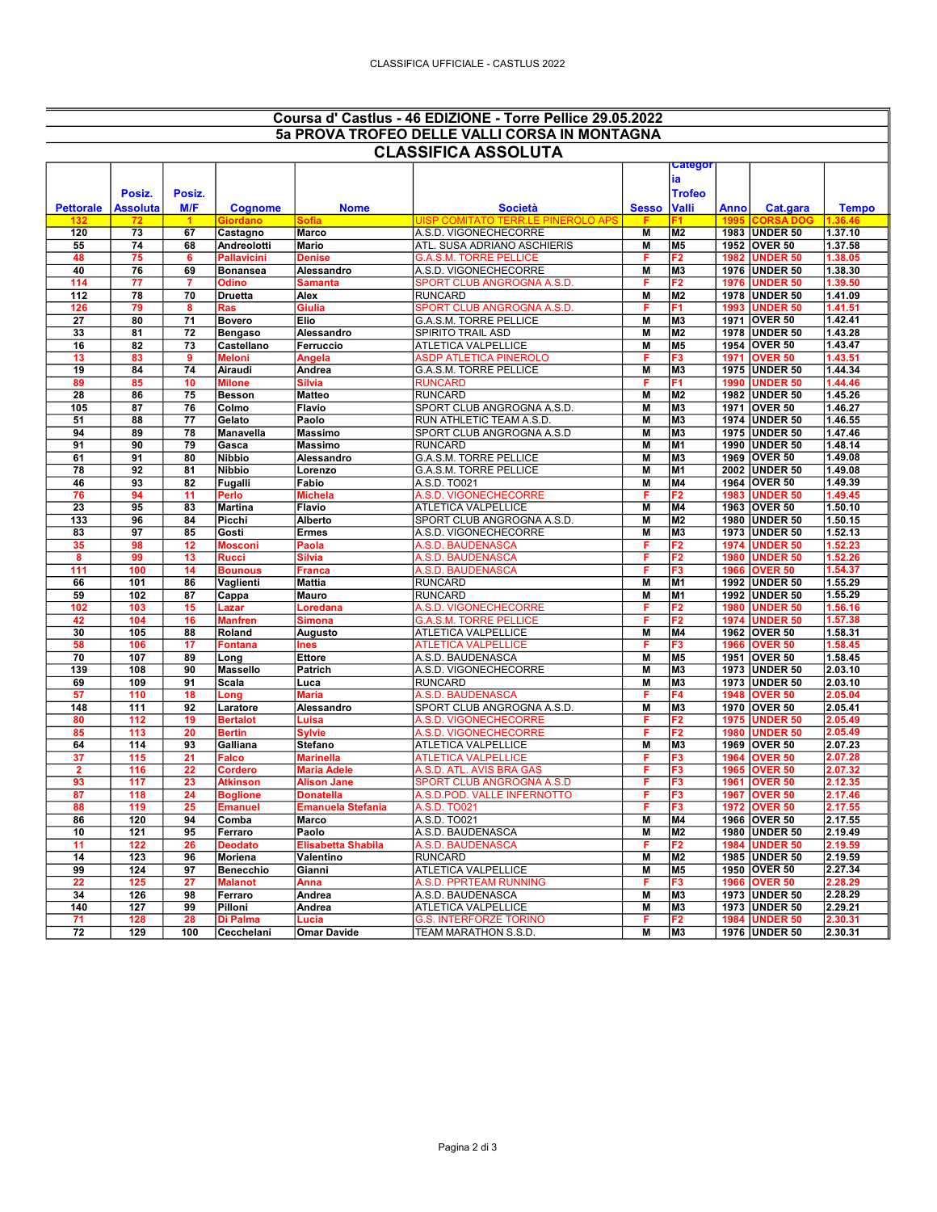## Coursa d' Castlus - 46 EDIZIONE - Torre Pellice 29.05.2022 5a PROVA TROFEO DELLE VALLI CORSA IN MONTAGNA CLASSIFICA ASSOLUTA

| ULAƏƏIFIUA AƏƏULU I A |                 |                 |                  |                    |                                    |                |                                  |              |                                   |                    |
|-----------------------|-----------------|-----------------|------------------|--------------------|------------------------------------|----------------|----------------------------------|--------------|-----------------------------------|--------------------|
|                       |                 |                 |                  |                    |                                    |                | ∪ategor                          |              |                                   |                    |
|                       |                 |                 |                  |                    |                                    |                | lia                              |              |                                   |                    |
|                       | Posiz.          | Posiz.          |                  |                    |                                    |                | <b>Trofeo</b>                    |              |                                   |                    |
| <b>Pettorale</b>      | Assoluta        | M/F             | <b>Cognome</b>   | <b>Nome</b>        | <b>Società</b>                     | <b>Sesso</b>   | <b>Valli</b>                     | Anno         | Cat.gara                          | <b>Tempo</b>       |
|                       | 72              |                 | Giordano         | Sofia              | UISP COMITATO TERR.LE PINEROLO APS | F              |                                  | 1995         | <b>CORSA DOG</b>                  | 1.36.4             |
| 120                   | $\overline{73}$ | 67              | Castagno         | <b>Marco</b>       | A.S.D. VIGONECHECORRE              | $\overline{M}$ | M <sub>2</sub>                   |              | 1983 UNDER 50                     | 1.37.10            |
| 55                    | 74              | 68              | Andreolotti      | Mario              | ATL. SUSA ADRIANO ASCHIERIS        | M              | M <sub>5</sub>                   |              | 1952 OVER 50                      | 1.37.58            |
| 48                    | 75              | 6               | Pallavicini      | <b>Denise</b>      | G.A.S.M. TORRE PELLICE             | F              | F2                               | 1982         | <b>UNDER 50</b>                   | 1.38.05            |
| 40                    | 76              | 69              |                  |                    | A.S.D. VIGONECHECORRE              | $\overline{M}$ | M <sub>3</sub>                   |              |                                   | 1.38.30            |
|                       |                 |                 | <b>Bonansea</b>  | Alessandro         |                                    |                |                                  |              | 1976 UNDER 50                     | 1.39.50            |
| 114                   | 77              | $\overline{7}$  | Odino            | Samanta            | SPORT CLUB ANGROGNA A.S.D          | F              | F2                               | 1976         | <b>UNDER 50</b>                   |                    |
| 112                   | 78              | $\overline{70}$ | <b>Druetta</b>   | Alex               | <b>RUNCARD</b>                     | M              | M <sub>2</sub>                   |              | 1978 UNDER 50                     | 1.41.09            |
| 126                   | 79              | 8               | Ras              | Giulia             | SPORT CLUB ANGROGNA A.S.D          | F              | F1                               | 1993         | <b>UNDER 50</b>                   | 1.41.51            |
| 27                    | 80              | 71              | <b>Bovero</b>    | Elio               | G.A.S.M. TORRE PELLICE             | M              | M3                               |              | 1971 OVER 50                      | 1.42.41            |
| 33                    | 81              | 72              | <b>Bengaso</b>   | Alessandro         | SPIRITO TRAIL ASD                  | M              | M2                               |              | 1978 UNDER 50                     | 1.43.28            |
| 16                    | 82              | 73              | Castellano       | <b>Ferruccio</b>   | <b>ATLETICA VALPELLICE</b>         | $\overline{M}$ | <b>M5</b>                        |              | 1954 OVER 50                      | 1.43.47            |
| 13                    | 83              | 9               | <b>Meloni</b>    | Angela             | ASDP ATLETICA PINEROLO             | F              | F3                               | 1971         | OVER <sub>50</sub>                | 1.43.51            |
| 19                    | 84              | 74              | Airaudi          | Andrea             | G.A.S.M. TORRE PELLICE             | M              | M <sub>3</sub>                   |              | 1975 UNDER 50                     | 1.44.34            |
| 89                    | 85              | 10              | <b>Milone</b>    | Silvia             | <b>RUNCARD</b>                     |                | F1                               | 1990         | <b>UNDER 50</b>                   | 1.44.46            |
| 28                    | 86              | $\overline{75}$ | <b>Besson</b>    | <b>Matteo</b>      | <b>RUNCARD</b>                     | $\overline{M}$ | <b>M2</b>                        |              | 1982 UNDER 50                     | 1.45.26            |
| 105                   | 87              | 76              | Colmo            | <b>Flavio</b>      | SPORT CLUB ANGROGNA A.S.D          | $\overline{M}$ | M <sub>3</sub>                   |              | 1971 OVER 50                      | 1.46.27            |
| 51                    | 88              | 77              | Gelato           | Paolo              | RUN ATHLETIC TEAM A.S.D.           | M              | M <sub>3</sub>                   |              | 1974 UNDER 50                     | 1.46.55            |
| 94                    | 89              | 78              | Manavella        | <b>Massimo</b>     | SPORT CLUB ANGROGNA A.S.D          | M              | M3                               |              | 1975 UNDER 50                     | 1.47.46            |
| 91                    | 90              | $\overline{79}$ | Gasca            | <b>Massimo</b>     | <b>RUNCARD</b>                     | M              | M <sub>1</sub>                   |              | 1990 UNDER 50                     | 1.48.14            |
| 61                    | 91              | 80              | <b>Nibbio</b>    | Alessandro         | G.A.S.M. TORRE PELLICE             | M              | M <sub>3</sub>                   |              | 1969 OVER 50                      | 1.49.08            |
| 78                    | 92              | 81              | Nibbio           | Lorenzo            | <b>G.A.S.M. TORRE PELLICE</b>      | M              | M1                               |              | 2002 UNDER 50                     | 1.49.08            |
| 46                    | 93              | 82              |                  | Fabio              | A.S.D. TO021                       | M              | M4                               |              | 1964 OVER 50                      | 1.49.39            |
|                       |                 |                 | Fugalli          |                    |                                    |                |                                  |              |                                   |                    |
| 76                    | 94              | 11              | Perlo            | <b>Michela</b>     | A.S.D. VIGONECHECORRE              | F              | F <sub>2</sub>                   | 1983         | <b>UNDER 50</b>                   | 1.49.45            |
| 23                    | 95              | 83              | <b>Martina</b>   | Flavio             | ATLETICA VALPELLICE                | M              | M4                               |              | 1963 OVER 50                      | 1.50.10            |
| 133                   | 96              | 84              | Picchi           | Alberto            | SPORT CLUB ANGROGNA A.S.D.         | M              | M2                               |              | 1980 UNDER 50                     | 1.50.15            |
| 83                    | $\overline{97}$ | 85              | Gosti            | <b>Ermes</b>       | A.S.D. VIGONECHECORRE              | $\overline{M}$ | M <sub>3</sub>                   |              | 1973 UNDER 50                     | 1.52.13            |
| 35                    | 98              | 12              | Mosconi          | Paola              | A.S.D. BAUDENASCA                  | F              | F <sub>2</sub>                   | 1974         | <b>UNDER 50</b>                   | 1.52.23            |
| 8                     | 99              | 13              | Rucci            | Silvia             | <b>A.S.D. BAUDENASCA</b>           | F              | F2                               | 1980         | <b>UNDER 50</b>                   | 1.52.26            |
| 111                   | 100             | 14              | <b>Bounous</b>   | <b>Franca</b>      | A.S.D. BAUDENASCA                  | F              | F3                               | 1966         | OVER <sub>50</sub>                | 1.54.37            |
| 66                    | 101             | 86              | Vaglienti        | <b>Mattia</b>      | <b>RUNCARD</b>                     | M              | M <sub>1</sub>                   |              | 1992 UNDER 50                     | 1.55.29            |
| 59                    | 102             | 87              | Cappa            | <b>Mauro</b>       | <b>RUNCARD</b>                     | M              | M1                               | 1992         | <b>UNDER 50</b>                   | 1.55.29            |
| 102                   | 103             | 15              | Lazar            | Loredana           | A.S.D. VIGONECHECORRE              | F              | F <sub>2</sub>                   | 1980         | <b>UNDER 50</b>                   | 1.56.16            |
| 42                    | 104             | 16              | <b>Manfren</b>   | Simona             | <b>G.A.S.M. TORRE PELLICE</b>      | F              | F2                               | 1974         | <b>UNDER 50</b>                   | 1.57.38            |
| 30                    | 105             | 88              | Roland           | Augusto            | ATLETICA VALPELLICE                | $\overline{M}$ | <b>M4</b>                        |              | 1962 OVER 50                      | 1.58.31            |
| 58                    | 106             | 17              | Fontana          | Ines               | <b>ATLETICA VALPELLICE</b>         | F              | F3                               | 1966         | OVER <sub>50</sub>                | 1.58.45            |
| 70                    | 107             | 89              | Long             | <b>Ettore</b>      | A.S.D. BAUDENASCA                  | $\overline{M}$ | M <sub>5</sub>                   |              | 1951 OVER 50                      | 1.58.45            |
| 139                   | 108             | 90              | <b>Massello</b>  | <b>Patrich</b>     | A.S.D. VIGONECHECORRE              | M              | M <sub>3</sub>                   |              | 1973 UNDER 50                     | 2.03.10            |
| 69                    | 109             | 91              | Scala            | Luca               | <b>RUNCARD</b>                     | $\overline{M}$ | M <sub>3</sub>                   |              | 1973 UNDER 50                     | 2.03.10            |
| 57                    | 110             | 18              | Long             | <b>Maria</b>       | A.S.D. BAUDENASCA                  | F              | F4                               | 1948         | OVER <sub>50</sub>                | 2.05.04            |
| 148                   | 111             | 92              | Laratore         | Alessandro         | SPORT CLUB ANGROGNA A.S.D          | $\overline{M}$ | M <sub>3</sub>                   | 1970         | OVER 50                           | 2.05.41            |
| 80                    | 112             | 19              | <b>Bertalot</b>  | Luisa              | A.S.D. VIGONECHECORRE              | F              | F2                               | 1975         | <b>UNDER 50</b>                   | 2.05.49            |
|                       |                 |                 |                  |                    |                                    | F              |                                  |              |                                   |                    |
| 85                    | 113<br>114      | 20<br>93        | Bertin           | Sylvie             | A.S.D. VIGONECHECORRE              | $\overline{M}$ | F <sub>2</sub><br>M <sub>3</sub> | 1980<br>1969 | <b>UNDER 50</b><br><b>OVER 50</b> | 2.05.49<br>2.07.23 |
| 64                    |                 |                 | Galliana         | <b>Stefano</b>     | <b>ATLETICA VALPELLICE</b>         |                |                                  |              |                                   |                    |
| 37                    | 115             | 21              | Falco            | <b>Marinella</b>   | <b>ATLETICA VALPELLICE</b>         | F              | F3                               | 1964         | <b>OVER 50</b>                    | 2.07.28            |
| $\overline{2}$        | 116             | 22              | Cordero          | <b>Maria Adele</b> | A.S.D. ATL. AVIS BRA GAS           | F              | F <sub>3</sub>                   | 1965         | <b>OVER 50</b>                    | 2.07.32            |
| 93                    | 117             | 23              | Atkinson         | <b>Alison Jane</b> | SPORT CLUB ANGROGNA A.S.D          | F              | F3                               | 1961         | <b>OVER 50</b>                    | 2.12.35            |
| 87                    | 118             | 24              | Boglione         | Donatella          | A.S.D.POD. VALLE INFERNOTTO        | F              | F3                               | 1967         | <b>OVER 50</b>                    | 2.17.46            |
| 88                    | 119             | 25              | Emanuel          | Emanuela Stefania  | A.S.D. TO021                       | F              | F <sub>3</sub>                   | 1972         | <b>OVER 50</b>                    | 2.17.55            |
| 86                    | 120             | 94              | Comba            | <b>Marco</b>       | A.S.D. TO021                       | $\overline{M}$ | M <sub>4</sub>                   |              | 1966 OVER 50                      | 2.17.55            |
| 10                    | 121             | 95              | Ferraro          | Paolo              | A.S.D. BAUDENASCA                  | M              | M <sub>2</sub>                   | 1980         | <b>UNDER 50</b>                   | 2.19.49            |
| 11                    | 122             | 26              | <b>Deodato</b>   | Elisabetta Shabila | A.S.D. BAUDENASCA                  | F              | F2                               | 1984         | UNDER 50                          | 2.19.59            |
| 14                    | 123             | 96              | Moriena          | Valentino          | <b>RUNCARD</b>                     | M              | <b>M2</b>                        |              | 1985 UNDER 50                     | 2.19.59            |
| 99                    | 124             | $\overline{97}$ | <b>Benecchio</b> | Gianni             | <b>ATLETICA VALPELLICE</b>         | $\overline{M}$ | M <sub>5</sub>                   |              | 1950 OVER 50                      | 2.27.34            |
| 22                    | 125             | 27              | <b>Malanot</b>   | Anna               | A.S.D. PPRTEAM RUNNING             | я              | F3                               | 1966         | <b>OVER 50</b>                    | 2.28.29            |
| 34                    | 126             | 98              | Ferraro          | Andrea             | A.S.D. BAUDENASCA                  | $\overline{M}$ | M3                               |              | 1973 UNDER 50                     | 2.28.29            |
| 140                   | 127             | 99              | Pilloni          | Andrea             | <b>ATLETICA VALPELLICE</b>         | M              | lмз                              |              | 1973 UNDER 50                     | 2.29.21            |
| 71                    | 128             | 28              | Di Palma         | Lucia              | <b>G.S. INTERFORZE TORINO</b>      | F              | F <sub>2</sub>                   |              | 1984 UNDER 50                     | 2.30.31            |
| $\overline{72}$       | 129             | 100             |                  | <b>Omar Davide</b> | TEAM MARATHON S.S.D.               | $\overline{M}$ | M <sub>3</sub>                   |              | 1976 UNDER 50                     | 2.30.31            |
|                       |                 |                 | Cecchelani       |                    |                                    |                |                                  |              |                                   |                    |